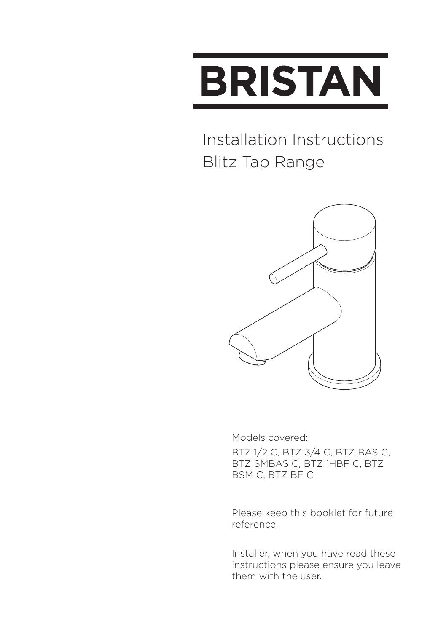

#### Installation Instructions Blitz Tap Range



Models covered:

BTZ 1/2 C, BTZ 3/4 C, BTZ BAS C, BTZ SMBAS C, BTZ 1HBF C, BTZ BSM C, BTZ BF C

Please keep this booklet for future reference.

Installer, when you have read these instructions please ensure you leave them with the user.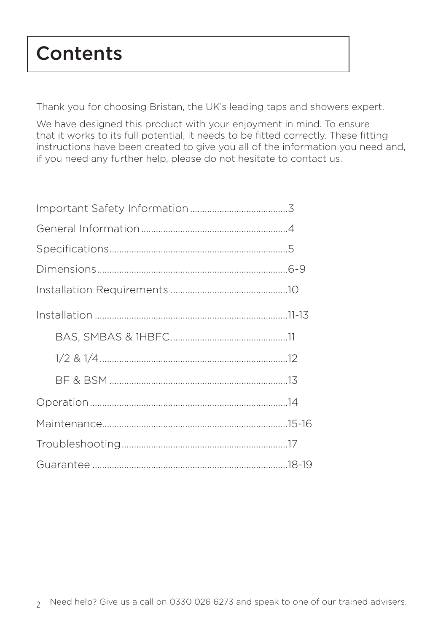## **Contents**

Thank you for choosing Bristan, the UK's leading taps and showers expert.

We have designed this product with your enjoyment in mind. To ensure that it works to its full potential, it needs to be fitted correctly. These fitting instructions have been created to give you all of the information you need and, if you need any further help, please do not hesitate to contact us.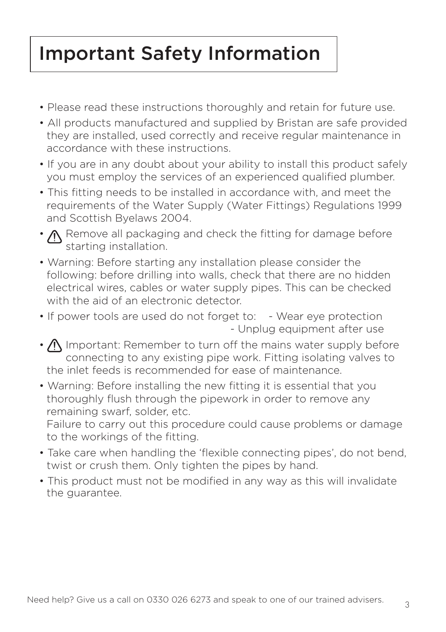## Important Safety Information

- Please read these instructions thoroughly and retain for future use.
- All products manufactured and supplied by Bristan are safe provided they are installed, used correctly and receive regular maintenance in accordance with these instructions.
- If you are in any doubt about your ability to install this product safely you must employ the services of an experienced qualified plumber.
- This fitting needs to be installed in accordance with, and meet the requirements of the Water Supply (Water Fittings) Regulations 1999 and Scottish Byelaws 2004.
- $\Lambda$  Remove all packaging and check the fitting for damage before starting installation.
- Warning: Before starting any installation please consider the following: before drilling into walls, check that there are no hidden electrical wires, cables or water supply pipes. This can be checked with the aid of an electronic detector.
- If power tools are used do not forget to: Wear eye protection - Unplug equipment after use
- $\bigwedge$  Important: Remember to turn off the mains water supply before connecting to any existing pipe work. Fitting isolating valves to the inlet feeds is recommended for ease of maintenance.
- Warning: Before installing the new fitting it is essential that you thoroughly flush through the pipework in order to remove any remaining swarf, solder, etc.

Failure to carry out this procedure could cause problems or damage to the workings of the fitting.

- Take care when handling the 'flexible connecting pipes', do not bend, twist or crush them. Only tighten the pipes by hand.
- This product must not be modified in any way as this will invalidate the guarantee.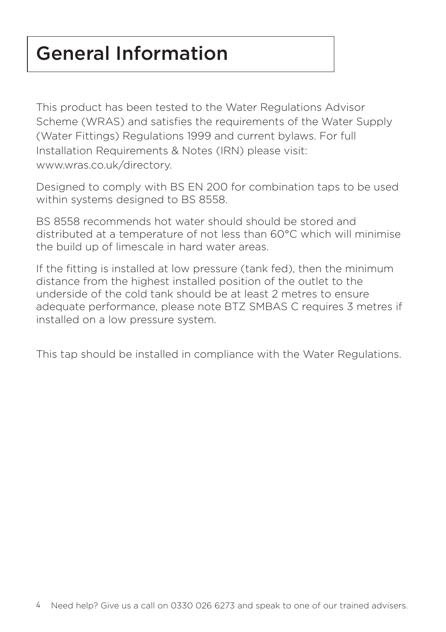## General Information

This product has been tested to the Water Regulations Advisor Scheme (WRAS) and satisfies the requirements of the Water Supply (Water Fittings) Regulations 1999 and current bylaws. For full Installation Requirements & Notes (IRN) please visit: www.wras.co.uk/directory.

Designed to comply with BS EN 200 for combination taps to be used within systems designed to BS 8558.

BS 8558 recommends hot water should should be stored and distributed at a temperature of not less than 60°C which will minimise the build up of limescale in hard water areas.

If the fitting is installed at low pressure (tank fed), then the minimum distance from the highest installed position of the outlet to the underside of the cold tank should be at least 2 metres to ensure adequate performance, please note BTZ SMBAS C requires 3 metres if installed on a low pressure system.

This tap should be installed in compliance with the Water Regulations.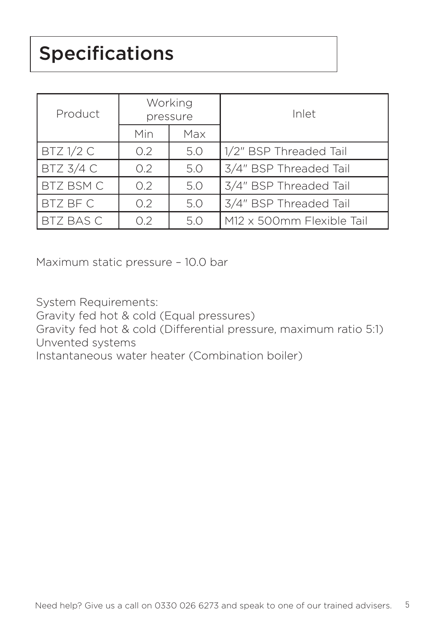# Specifications

| Product          | Working<br>pressure |     | Inlet                     |
|------------------|---------------------|-----|---------------------------|
|                  | Min                 | Max |                           |
| $BTZ$ 1/2 C      | 0.2 <sub>2</sub>    | 5.0 | 1/2" BSP Threaded Tail    |
| BTZ 3/4 C        | 0.2                 | 5.0 | 3/4" BSP Threaded Tail    |
| BTZ BSM C        | 0.2                 | 5.0 | 3/4" BSP Threaded Tail    |
| BTZ BF C         | 0.2 <sub>2</sub>    | 5.0 | 3/4" BSP Threaded Tail    |
| <b>BTZ BAS C</b> | O.2                 | 5.0 | M12 x 500mm Flexible Tail |

Maximum static pressure – 10.0 bar

System Requirements:

Gravity fed hot & cold (Equal pressures)

Gravity fed hot & cold (Differential pressure, maximum ratio 5:1) Unvented systems

Instantaneous water heater (Combination boiler)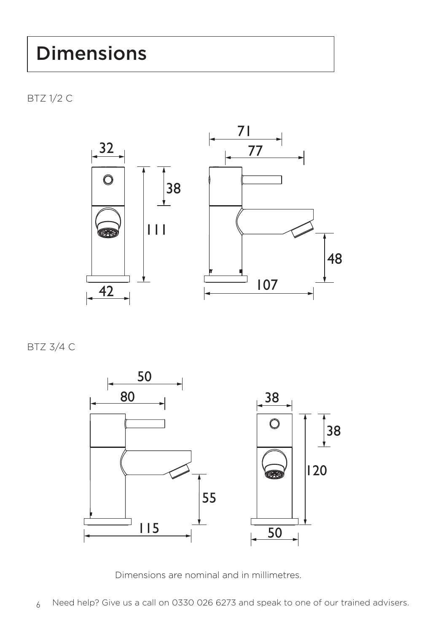BTZ 1/2 C



BTZ 3/4 C



Dimensions are nominal and in millimetres.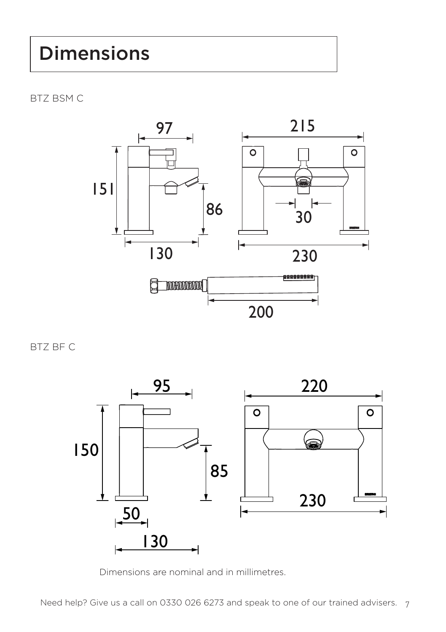BTZ BSM C



BTZ BF C



Dimensions are nominal and in millimetres.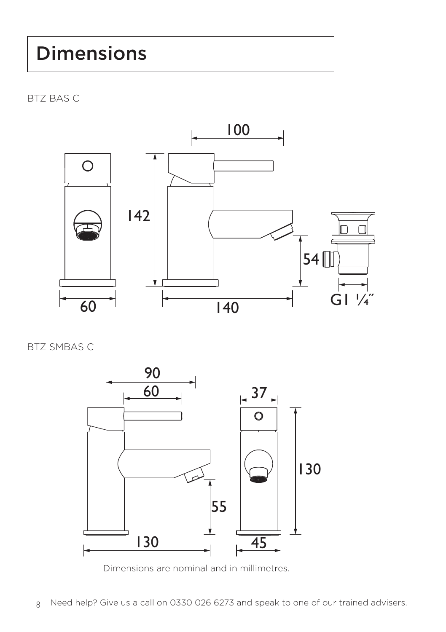BTZ BAS C



BTZ SMBAS C



Dimensions are nominal and in millimetres.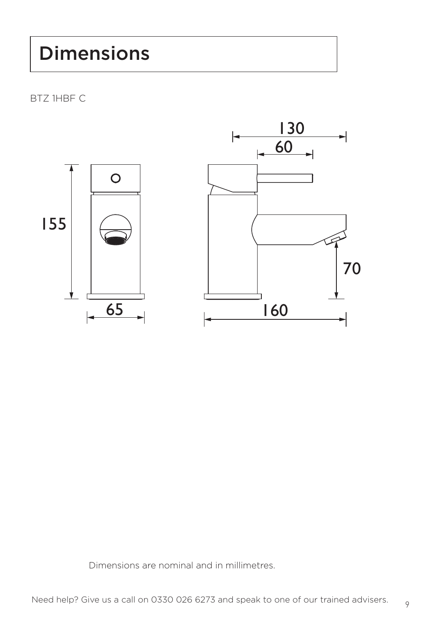BTZ 1HBF C



Dimensions are nominal and in millimetres.

9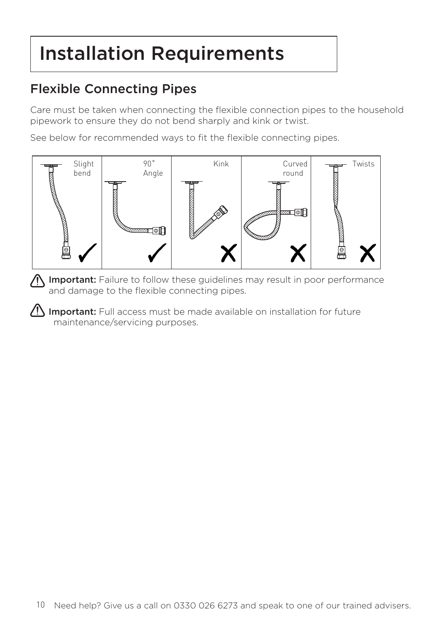## Installation Requirements

#### Flexible Connecting Pipes

Care must be taken when connecting the flexible connection pipes to the household pipework to ensure they do not bend sharply and kink or twist.

See below for recommended ways to fit the flexible connecting pipes.



**A Important:** Failure to follow these guidelines may result in poor performance and damage to the flexible connecting pipes.

 $\sqrt{!}$  Important: Full access must be made available on installation for future maintenance/servicing purposes.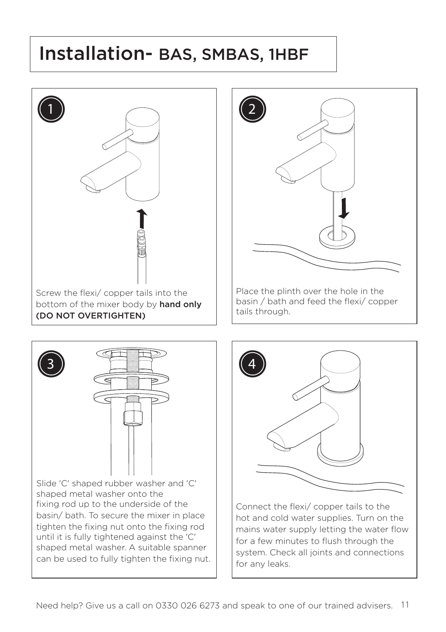#### Installation- BAS, SMBAS, 1HBF







Connect the flexi/ copper tails to the hot and cold water supplies. Turn on the mains water supply letting the water flow for a few minutes to flush through the system. Check all joints and connections for any leaks.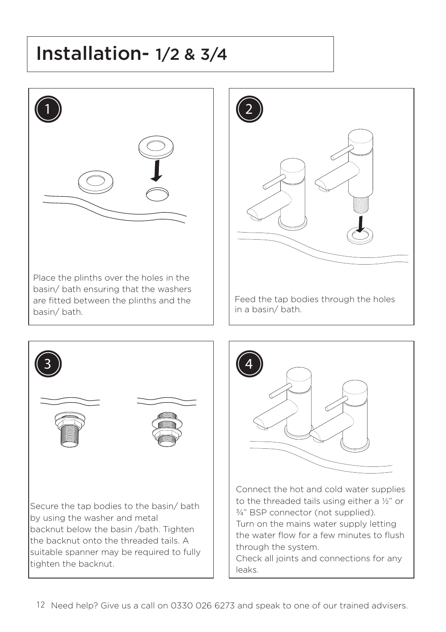## Installation- 1/2 & 3/4



Place the plinths over the holes in the basin/ bath ensuring that the washers are fitted between the plinths and the basin/ bath.



Feed the tap bodies through the holes in a basin/ bath.





Turn on the mains water supply letting the water flow for a few minutes to flush through the system.

Check all joints and connections for any leaks.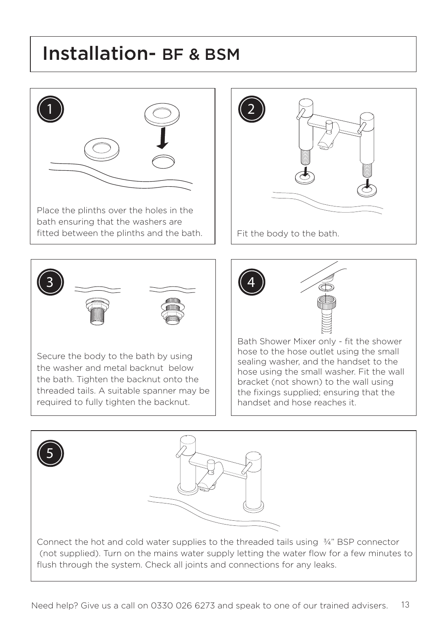#### Installation- BF & BSM



Place the plinths over the holes in the bath ensuring that the washers are fitted between the plinths and the bath.  $\|\cdot\|$  Fit the body to the bath.





Secure the body to the bath by using the washer and metal backnut below the bath. Tighten the backnut onto the threaded tails. A suitable spanner may be required to fully tighten the backnut.



Bath Shower Mixer only - fit the shower hose to the hose outlet using the small sealing washer, and the handset to the hose using the small washer. Fit the wall bracket (not shown) to the wall using the fixings supplied; ensuring that the handset and hose reaches it.

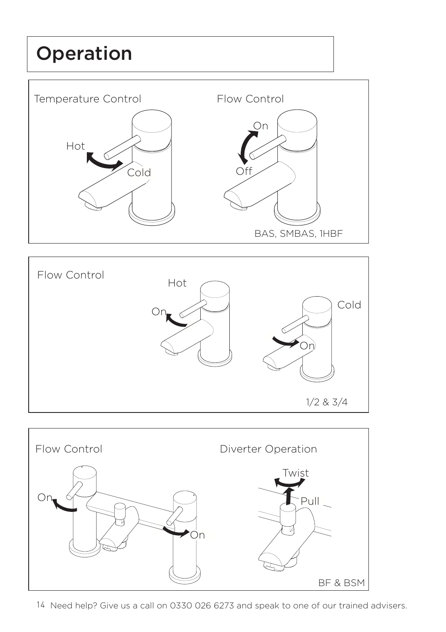# Operation







14 Need help? Give us a call on 0330 026 6273 and speak to one of our trained advisers.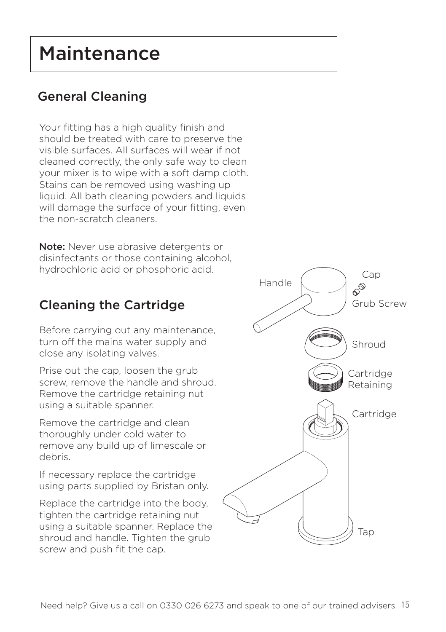## Maintenance

#### General Cleaning

Your fitting has a high quality finish and should be treated with care to preserve the visible surfaces. All surfaces will wear if not cleaned correctly, the only safe way to clean your mixer is to wipe with a soft damp cloth. Stains can be removed using washing up liquid. All bath cleaning powders and liquids will damage the surface of your fitting, even the non-scratch cleaners.

Note: Never use abrasive detergents or disinfectants or those containing alcohol, hydrochloric acid or phosphoric acid.

#### Cleaning the Cartridge

Before carrying out any maintenance, turn off the mains water supply and close any isolating valves.

Prise out the cap, loosen the grub screw, remove the handle and shroud. Remove the cartridge retaining nut using a suitable spanner.

Remove the cartridge and clean thoroughly under cold water to remove any build up of limescale or debris.

If necessary replace the cartridge using parts supplied by Bristan only.

Replace the cartridge into the body, tighten the cartridge retaining nut using a suitable spanner. Replace the shroud and handle. Tighten the grub screw and push fit the cap.

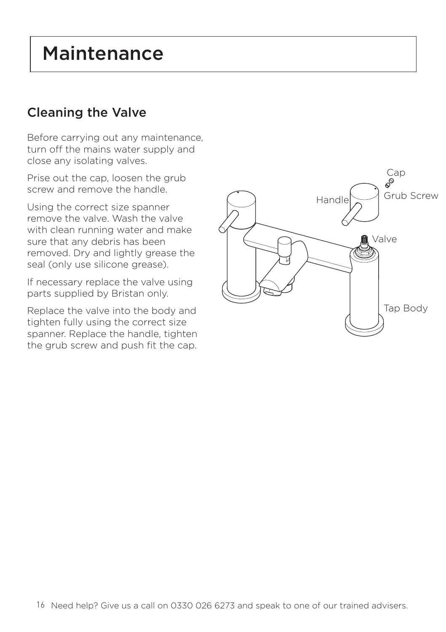#### Maintenance

#### Cleaning the Valve

Before carrying out any maintenance, turn off the mains water supply and close any isolating valves.

Prise out the cap, loosen the grub screw and remove the handle.

Using the correct size spanner remove the valve. Wash the valve with clean running water and make sure that any debris has been removed. Dry and lightly grease the seal (only use silicone grease).

If necessary replace the valve using parts supplied by Bristan only.

Replace the valve into the body and tighten fully using the correct size spanner. Replace the handle, tighten the grub screw and push fit the cap.

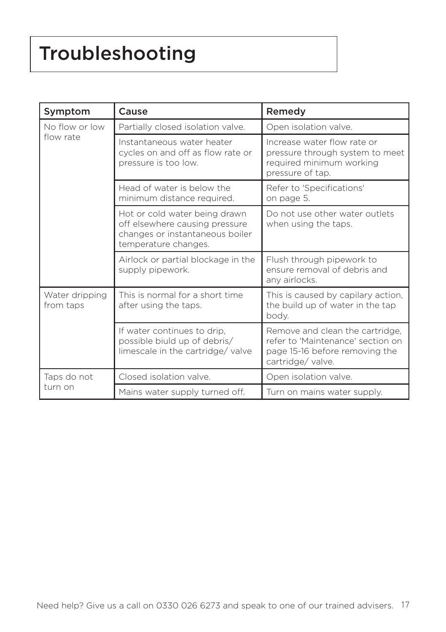# Troubleshooting

| Symptom                     | Cause                                                                                                                      | Remedy                                                                                                                     |
|-----------------------------|----------------------------------------------------------------------------------------------------------------------------|----------------------------------------------------------------------------------------------------------------------------|
| No flow or low<br>flow rate | Partially closed isolation valve.                                                                                          | Open isolation valve.                                                                                                      |
|                             | Instantaneous water heater<br>cycles on and off as flow rate or<br>pressure is too low.                                    | Increase water flow rate or<br>pressure through system to meet<br>required minimum working<br>pressure of tap.             |
|                             | Head of water is below the<br>minimum distance required.                                                                   | Refer to 'Specifications'<br>on page 5.                                                                                    |
|                             | Hot or cold water being drawn<br>off elsewhere causing pressure<br>changes or instantaneous boiler<br>temperature changes. | Do not use other water outlets<br>when using the taps.                                                                     |
|                             | Airlock or partial blockage in the<br>supply pipework.                                                                     | Flush through pipework to<br>ensure removal of debris and<br>any airlocks.                                                 |
| Water dripping<br>from taps | This is normal for a short time<br>after using the taps.                                                                   | This is caused by capilary action,<br>the build up of water in the tap<br>body.                                            |
|                             | If water continues to drip,<br>possible biuld up of debris/<br>limescale in the cartridge/valve                            | Remove and clean the cartridge,<br>refer to 'Maintenance' section on<br>page 15-16 before removing the<br>cartridge/valve. |
| Taps do not<br>turn on      | Closed isolation valve.                                                                                                    | Open isolation valve.                                                                                                      |
|                             | Mains water supply turned off.                                                                                             | Turn on mains water supply.                                                                                                |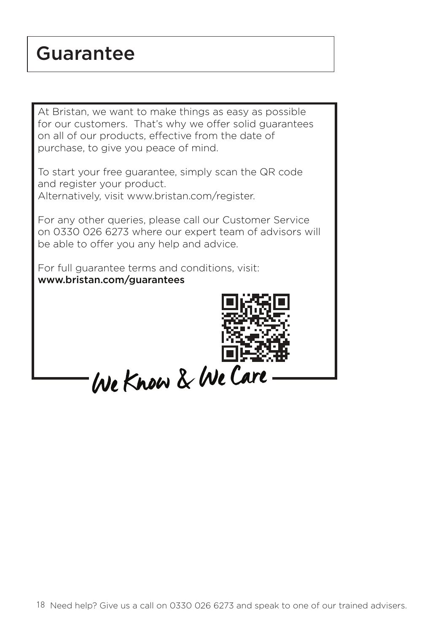#### Guarantee

At Bristan, we want to make things as easy as possible for our customers. That's why we offer solid guarantees on all of our products, effective from the date of purchase, to give you peace of mind.

To start your free guarantee, simply scan the QR code and register your product.

Alternatively, visit www.bristan.com/register.

For any other queries, please call our Customer Service on 0330 026 6273 where our expert team of advisors will be able to offer you any help and advice.

For full guarantee terms and conditions, visit: www.bristan.com/guarantees



We Know & We Care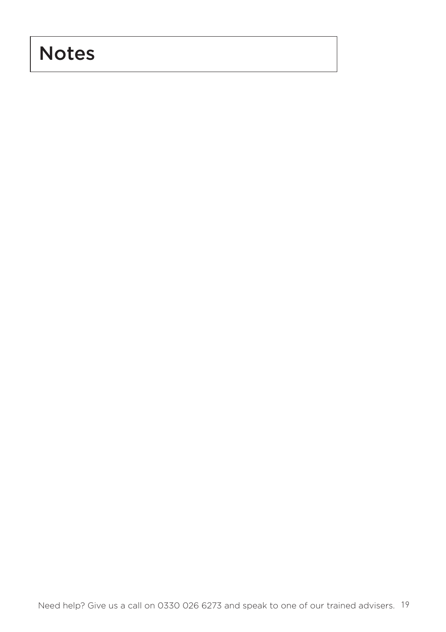## Notes